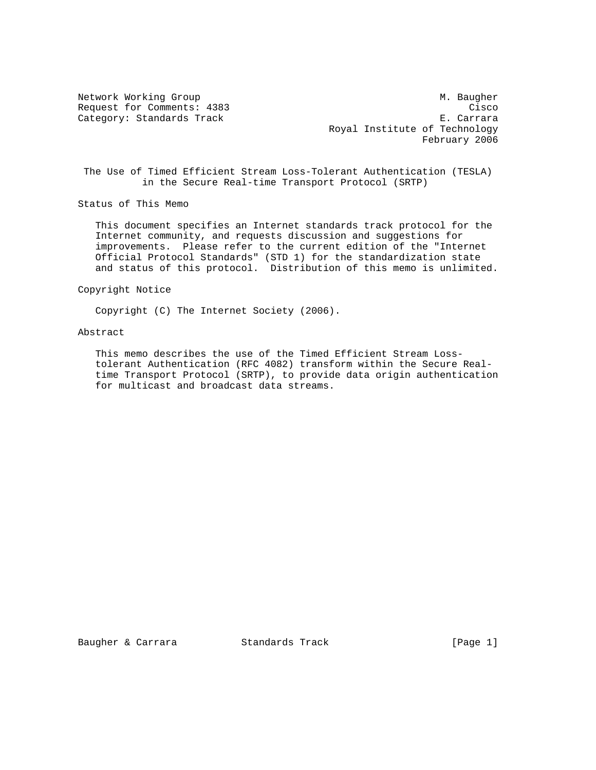Category: Standards Track

Network Working Group Methods and Muslim Muslim Muslim Muslim Muslim Muslim Muslim Muslim Muslim Muslim Muslim Request for Comments: 4383 Cisco Category: Standards Track Category: Cisco Category: Standards Track Category: Category: Category: Category: Category: Category: Category: Category: Category: Category: Category: Category: C Royal Institute of Technology February 2006

 The Use of Timed Efficient Stream Loss-Tolerant Authentication (TESLA) in the Secure Real-time Transport Protocol (SRTP)

Status of This Memo

 This document specifies an Internet standards track protocol for the Internet community, and requests discussion and suggestions for improvements. Please refer to the current edition of the "Internet Official Protocol Standards" (STD 1) for the standardization state and status of this protocol. Distribution of this memo is unlimited.

Copyright Notice

Copyright (C) The Internet Society (2006).

# Abstract

 This memo describes the use of the Timed Efficient Stream Loss tolerant Authentication (RFC 4082) transform within the Secure Real time Transport Protocol (SRTP), to provide data origin authentication for multicast and broadcast data streams.

Baugher & Carrara Standards Track (Page 1)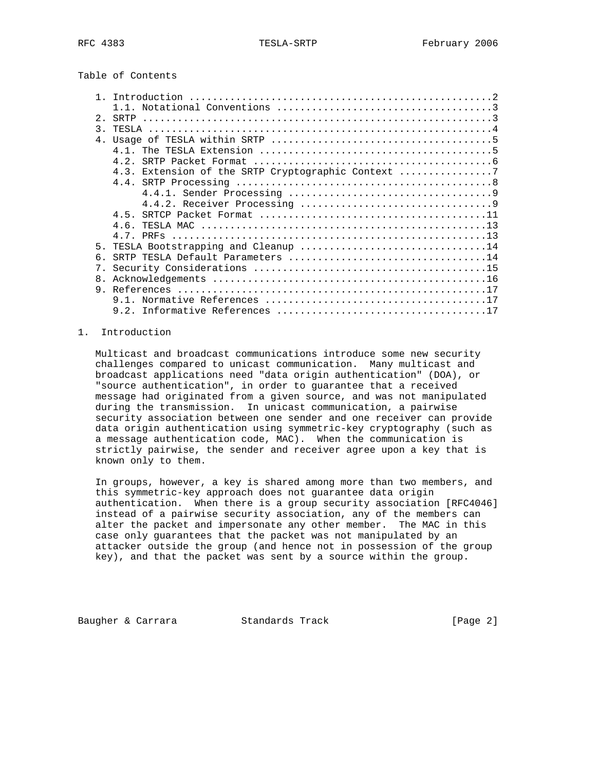Table of Contents

| $\mathcal{R}$ |                                                    |
|---------------|----------------------------------------------------|
|               |                                                    |
|               |                                                    |
|               | 4 2                                                |
|               | 4.3. Extension of the SRTP Cryptographic Context 7 |
|               |                                                    |
|               |                                                    |
|               |                                                    |
|               |                                                    |
|               |                                                    |
|               |                                                    |
|               | 5. TESLA Bootstrapping and Cleanup 14              |
| б.            |                                                    |
| $7$ .         |                                                    |
| 8.            |                                                    |
|               |                                                    |
|               |                                                    |
|               |                                                    |
|               |                                                    |

## 1. Introduction

 Multicast and broadcast communications introduce some new security challenges compared to unicast communication. Many multicast and broadcast applications need "data origin authentication" (DOA), or "source authentication", in order to guarantee that a received message had originated from a given source, and was not manipulated during the transmission. In unicast communication, a pairwise security association between one sender and one receiver can provide data origin authentication using symmetric-key cryptography (such as a message authentication code, MAC). When the communication is strictly pairwise, the sender and receiver agree upon a key that is known only to them.

 In groups, however, a key is shared among more than two members, and this symmetric-key approach does not guarantee data origin authentication. When there is a group security association [RFC4046] instead of a pairwise security association, any of the members can alter the packet and impersonate any other member. The MAC in this case only guarantees that the packet was not manipulated by an attacker outside the group (and hence not in possession of the group key), and that the packet was sent by a source within the group.

Baugher & Carrara Standards Track (Page 2)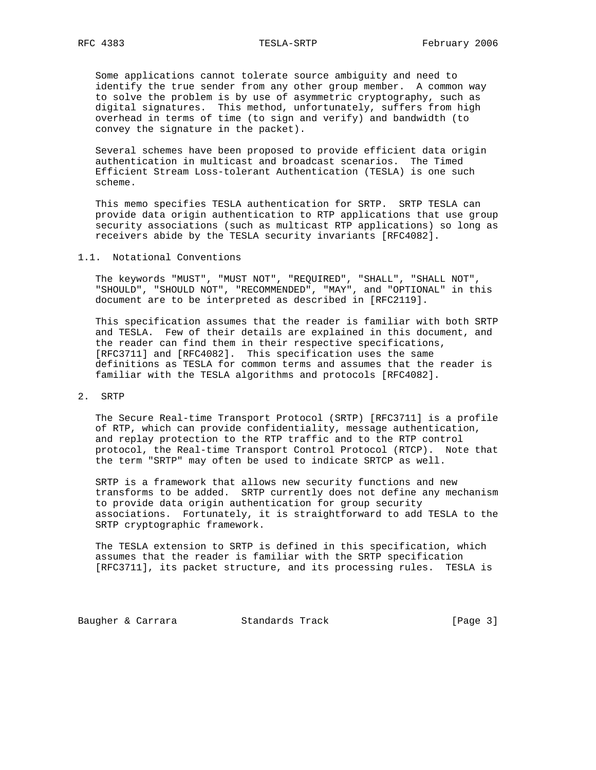Some applications cannot tolerate source ambiguity and need to identify the true sender from any other group member. A common way to solve the problem is by use of asymmetric cryptography, such as digital signatures. This method, unfortunately, suffers from high overhead in terms of time (to sign and verify) and bandwidth (to convey the signature in the packet).

 Several schemes have been proposed to provide efficient data origin authentication in multicast and broadcast scenarios. The Timed Efficient Stream Loss-tolerant Authentication (TESLA) is one such scheme.

 This memo specifies TESLA authentication for SRTP. SRTP TESLA can provide data origin authentication to RTP applications that use group security associations (such as multicast RTP applications) so long as receivers abide by the TESLA security invariants [RFC4082].

#### 1.1. Notational Conventions

 The keywords "MUST", "MUST NOT", "REQUIRED", "SHALL", "SHALL NOT", "SHOULD", "SHOULD NOT", "RECOMMENDED", "MAY", and "OPTIONAL" in this document are to be interpreted as described in [RFC2119].

 This specification assumes that the reader is familiar with both SRTP and TESLA. Few of their details are explained in this document, and the reader can find them in their respective specifications, [RFC3711] and [RFC4082]. This specification uses the same definitions as TESLA for common terms and assumes that the reader is familiar with the TESLA algorithms and protocols [RFC4082].

## 2. SRTP

 The Secure Real-time Transport Protocol (SRTP) [RFC3711] is a profile of RTP, which can provide confidentiality, message authentication, and replay protection to the RTP traffic and to the RTP control protocol, the Real-time Transport Control Protocol (RTCP). Note that the term "SRTP" may often be used to indicate SRTCP as well.

 SRTP is a framework that allows new security functions and new transforms to be added. SRTP currently does not define any mechanism to provide data origin authentication for group security associations. Fortunately, it is straightforward to add TESLA to the SRTP cryptographic framework.

 The TESLA extension to SRTP is defined in this specification, which assumes that the reader is familiar with the SRTP specification [RFC3711], its packet structure, and its processing rules. TESLA is

Baugher & Carrara Standards Track [Page 3]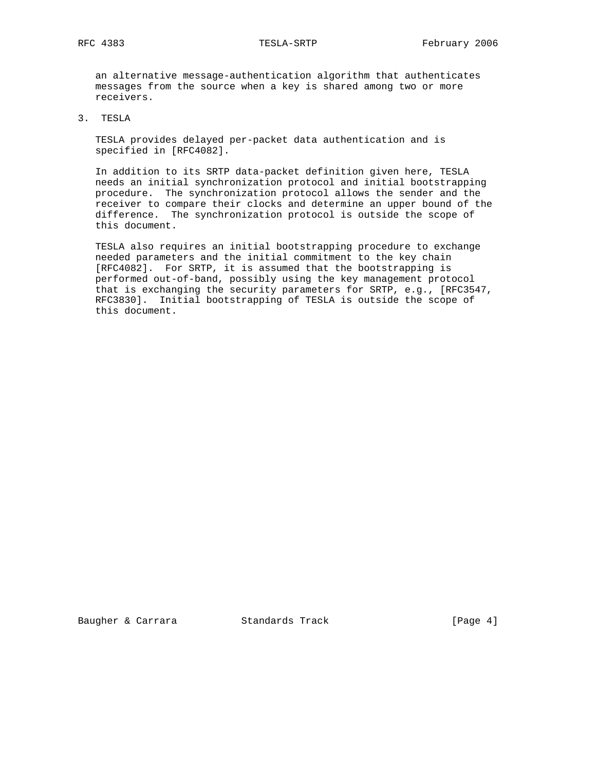an alternative message-authentication algorithm that authenticates messages from the source when a key is shared among two or more receivers.

3. TESLA

 TESLA provides delayed per-packet data authentication and is specified in [RFC4082].

 In addition to its SRTP data-packet definition given here, TESLA needs an initial synchronization protocol and initial bootstrapping procedure. The synchronization protocol allows the sender and the receiver to compare their clocks and determine an upper bound of the difference. The synchronization protocol is outside the scope of this document.

 TESLA also requires an initial bootstrapping procedure to exchange needed parameters and the initial commitment to the key chain [RFC4082]. For SRTP, it is assumed that the bootstrapping is performed out-of-band, possibly using the key management protocol that is exchanging the security parameters for SRTP, e.g., [RFC3547, RFC3830]. Initial bootstrapping of TESLA is outside the scope of this document.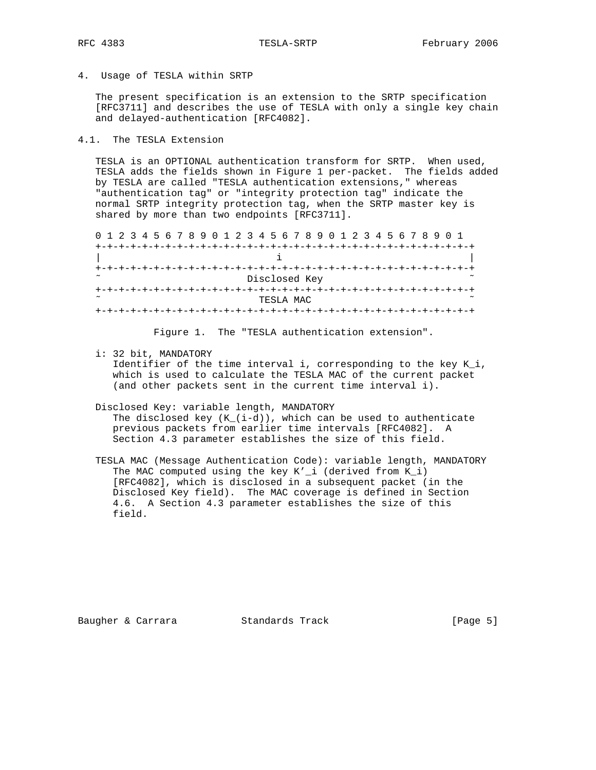# 4. Usage of TESLA within SRTP

 The present specification is an extension to the SRTP specification [RFC3711] and describes the use of TESLA with only a single key chain and delayed-authentication [RFC4082].

### 4.1. The TESLA Extension

 TESLA is an OPTIONAL authentication transform for SRTP. When used, TESLA adds the fields shown in Figure 1 per-packet. The fields added by TESLA are called "TESLA authentication extensions," whereas "authentication tag" or "integrity protection tag" indicate the normal SRTP integrity protection tag, when the SRTP master key is shared by more than two endpoints [RFC3711].

 0 1 2 3 4 5 6 7 8 9 0 1 2 3 4 5 6 7 8 9 0 1 2 3 4 5 6 7 8 9 0 1 +-+-+-+-+-+-+-+-+-+-+-+-+-+-+-+-+-+-+-+-+-+-+-+-+-+-+-+-+-+-+-+-+ | i | +-+-+-+-+-+-+-+-+-+-+-+-+-+-+-+-+-+-+-+-+-+-+-+-+-+-+-+-+-+-+-+-+ Disclosed Key +-+-+-+-+-+-+-+-+-+-+-+-+-+-+-+-+-+-+-+-+-+-+-+-+-+-+-+-+-+-+-+-+ TESLA MAC +-+-+-+-+-+-+-+-+-+-+-+-+-+-+-+-+-+-+-+-+-+-+-+-+-+-+-+-+-+-+-+-+

Figure 1. The "TESLA authentication extension".

i: 32 bit, MANDATORY

 Identifier of the time interval i, corresponding to the key K\_i, which is used to calculate the TESLA MAC of the current packet (and other packets sent in the current time interval i).

Disclosed Key: variable length, MANDATORY

The disclosed key  $(K_{-}(i-d))$ , which can be used to authenticate previous packets from earlier time intervals [RFC4082]. A Section 4.3 parameter establishes the size of this field.

 TESLA MAC (Message Authentication Code): variable length, MANDATORY The MAC computed using the key K'\_i (derived from K\_i) [RFC4082], which is disclosed in a subsequent packet (in the Disclosed Key field). The MAC coverage is defined in Section 4.6. A Section 4.3 parameter establishes the size of this field.

Baugher & Carrara Standards Track (Page 5)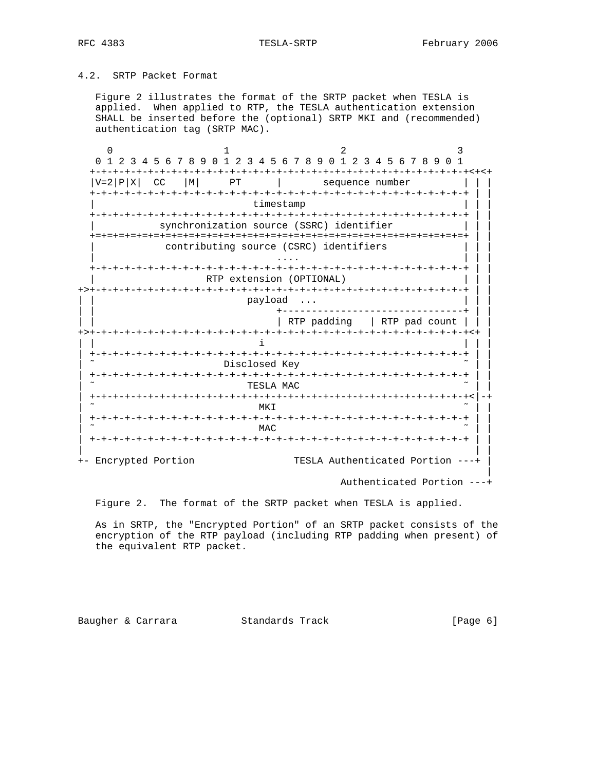## 4.2. SRTP Packet Format

 Figure 2 illustrates the format of the SRTP packet when TESLA is applied. When applied to RTP, the TESLA authentication extension SHALL be inserted before the (optional) SRTP MKI and (recommended) authentication tag (SRTP MAC).

 $0$  1 2 3 0 1 2 3 4 5 6 7 8 9 0 1 2 3 4 5 6 7 8 9 0 1 2 3 4 5 6 7 8 9 0 1 +-+-+-+-+-+-+-+-+-+-+-+-+-+-+-+-+-+-+-+-+-+-+-+-+-+-+-+-+-+-+-+-+<+<+  $|V=2|P|X|$  CC  $|M|$  PT  $|$  sequence number +-+-+-+-+-+-+-+-+-+-+-+-+-+-+-+-+-+-+-+-+-+-+-+-+-+-+-+-+-+-+-+-+ | | timestamp +-+-+-+-+-+-+-+-+-+-+-+-+-+-+-+-+-+-+-+-+-+-+-+-+-+-+-+-+-+-+-+-+ | | synchronization source (SSRC) identifier +=+=+=+=+=+=+=+=+=+=+=+=+=+=+=+=+=+=+=+=+=+=+=+=+=+=+=+=+=+=+=+=+ | | contributing source (CSRC) identifiers | .... | ... | ... | ... | ... | ... | ... | ... | ... | ... | ... | ... | ... | ... | ... | ... | ... | ... | ... | +-+-+-+-+-+-+-+-+-+-+-+-+-+-+-+-+-+-+-+-+-+-+-+-+-+-+-+-+-+-+-+-+ | | RTP extension (OPTIONAL) +>+-+-+-+-+-+-+-+-+-+-+-+-+-+-+-+-+-+-+-+-+-+-+-+-+-+-+-+-+-+-+-+-+ | | payload ... | | +-------------------------------+ | | | RTP padding | RTP pad count | | +>+-+-+-+-+-+-+-+-+-+-+-+-+-+-+-+-+-+-+-+-+-+-+-+-+-+-+-+-+-+-+-+-+<+ | | | i | | | | +-+-+-+-+-+-+-+-+-+-+-+-+-+-+-+-+-+-+-+-+-+-+-+-+-+-+-+-+-+-+-+-+ | | Disclosed Key | +-+-+-+-+-+-+-+-+-+-+-+-+-+-+-+-+-+-+-+-+-+-+-+-+-+-+-+-+-+-+-+-+ | | TESLA MAC | +-+-+-+-+-+-+-+-+-+-+-+-+-+-+-+-+-+-+-+-+-+-+-+-+-+-+-+-+-+-+-+-+<|-+ | ˜ MKI ˜ | | | +-+-+-+-+-+-+-+-+-+-+-+-+-+-+-+-+-+-+-+-+-+-+-+-+-+-+-+-+-+-+-+-+ | | | ˜ MAC ˜ | | | +-+-+-+-+-+-+-+-+-+-+-+-+-+-+-+-+-+-+-+-+-+-+-+-+-+-+-+-+-+-+-+-+ | | | | | +- Encrypted Portion TESLA Authenticated Portion ---+ | | Authenticated Portion ---+

Figure 2. The format of the SRTP packet when TESLA is applied.

 As in SRTP, the "Encrypted Portion" of an SRTP packet consists of the encryption of the RTP payload (including RTP padding when present) of the equivalent RTP packet.

Baugher & Carrara Standards Track [Page 6]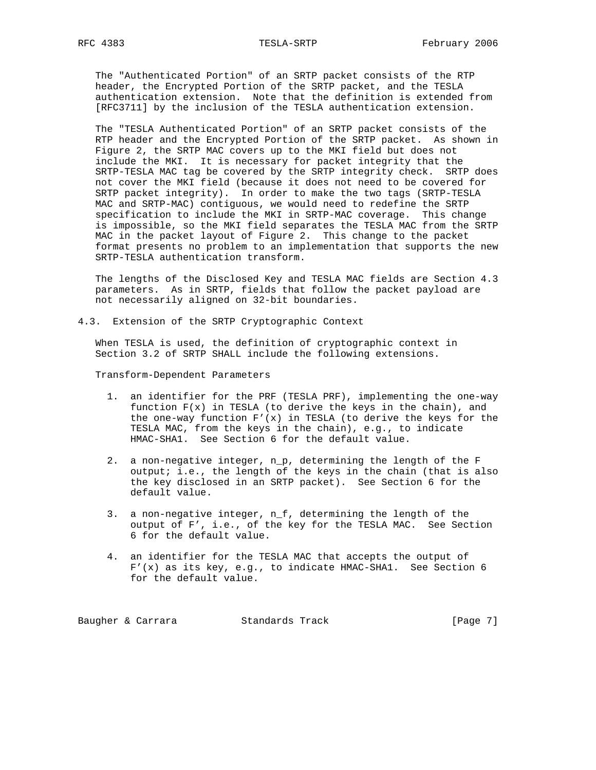The "Authenticated Portion" of an SRTP packet consists of the RTP header, the Encrypted Portion of the SRTP packet, and the TESLA authentication extension. Note that the definition is extended from [RFC3711] by the inclusion of the TESLA authentication extension.

 The "TESLA Authenticated Portion" of an SRTP packet consists of the RTP header and the Encrypted Portion of the SRTP packet. As shown in Figure 2, the SRTP MAC covers up to the MKI field but does not include the MKI. It is necessary for packet integrity that the SRTP-TESLA MAC tag be covered by the SRTP integrity check. SRTP does not cover the MKI field (because it does not need to be covered for SRTP packet integrity). In order to make the two tags (SRTP-TESLA MAC and SRTP-MAC) contiguous, we would need to redefine the SRTP specification to include the MKI in SRTP-MAC coverage. This change is impossible, so the MKI field separates the TESLA MAC from the SRTP MAC in the packet layout of Figure 2. This change to the packet format presents no problem to an implementation that supports the new SRTP-TESLA authentication transform.

 The lengths of the Disclosed Key and TESLA MAC fields are Section 4.3 parameters. As in SRTP, fields that follow the packet payload are not necessarily aligned on 32-bit boundaries.

4.3. Extension of the SRTP Cryptographic Context

 When TESLA is used, the definition of cryptographic context in Section 3.2 of SRTP SHALL include the following extensions.

Transform-Dependent Parameters

- 1. an identifier for the PRF (TESLA PRF), implementing the one-way function  $F(x)$  in TESLA (to derive the keys in the chain), and the one-way function  $F'(x)$  in TESLA (to derive the keys for the TESLA MAC, from the keys in the chain), e.g., to indicate HMAC-SHA1. See Section 6 for the default value.
- 2. a non-negative integer, n\_p, determining the length of the F output; i.e., the length of the keys in the chain (that is also the key disclosed in an SRTP packet). See Section 6 for the default value.
- 3. a non-negative integer, n\_f, determining the length of the output of F', i.e., of the key for the TESLA MAC. See Section 6 for the default value.
- 4. an identifier for the TESLA MAC that accepts the output of F'(x) as its key, e.g., to indicate HMAC-SHA1. See Section 6 for the default value.

Baugher & Carrara Standards Track [Page 7]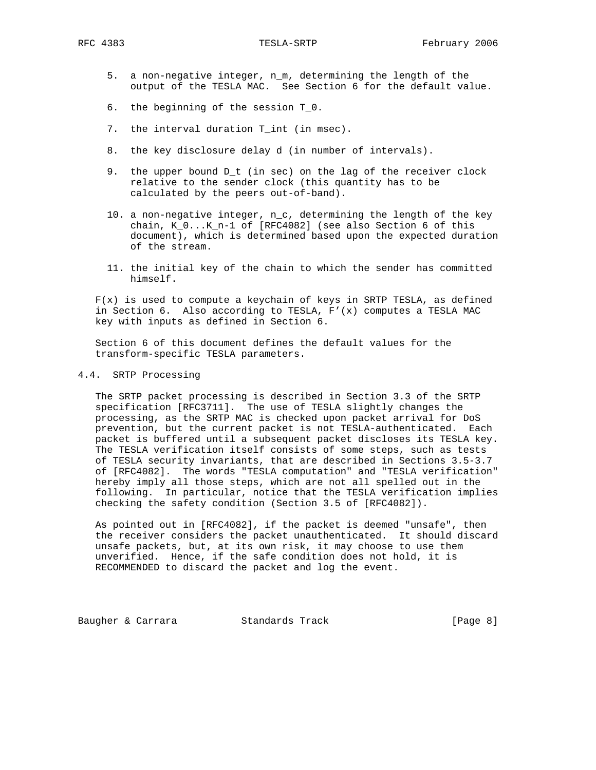- 5. a non-negative integer, n\_m, determining the length of the output of the TESLA MAC. See Section 6 for the default value.
- 6. the beginning of the session T\_0.
- 7. the interval duration T\_int (in msec).
- 8. the key disclosure delay d (in number of intervals).
- 9. the upper bound D\_t (in sec) on the lag of the receiver clock relative to the sender clock (this quantity has to be calculated by the peers out-of-band).
- 10. a non-negative integer,  $n_c$ , determining the length of the key chain, K\_0...K\_n-1 of [RFC4082] (see also Section 6 of this document), which is determined based upon the expected duration of the stream.
- 11. the initial key of the chain to which the sender has committed himself.

 $F(x)$  is used to compute a keychain of keys in SRTP TESLA, as defined in Section 6. Also according to TESLA,  $F'(x)$  computes a TESLA MAC key with inputs as defined in Section 6.

 Section 6 of this document defines the default values for the transform-specific TESLA parameters.

4.4. SRTP Processing

 The SRTP packet processing is described in Section 3.3 of the SRTP specification [RFC3711]. The use of TESLA slightly changes the processing, as the SRTP MAC is checked upon packet arrival for DoS prevention, but the current packet is not TESLA-authenticated. Each packet is buffered until a subsequent packet discloses its TESLA key. The TESLA verification itself consists of some steps, such as tests of TESLA security invariants, that are described in Sections 3.5-3.7 of [RFC4082]. The words "TESLA computation" and "TESLA verification" hereby imply all those steps, which are not all spelled out in the following. In particular, notice that the TESLA verification implies checking the safety condition (Section 3.5 of [RFC4082]).

 As pointed out in [RFC4082], if the packet is deemed "unsafe", then the receiver considers the packet unauthenticated. It should discard unsafe packets, but, at its own risk, it may choose to use them unverified. Hence, if the safe condition does not hold, it is RECOMMENDED to discard the packet and log the event.

Baugher & Carrara Standards Track (Page 8)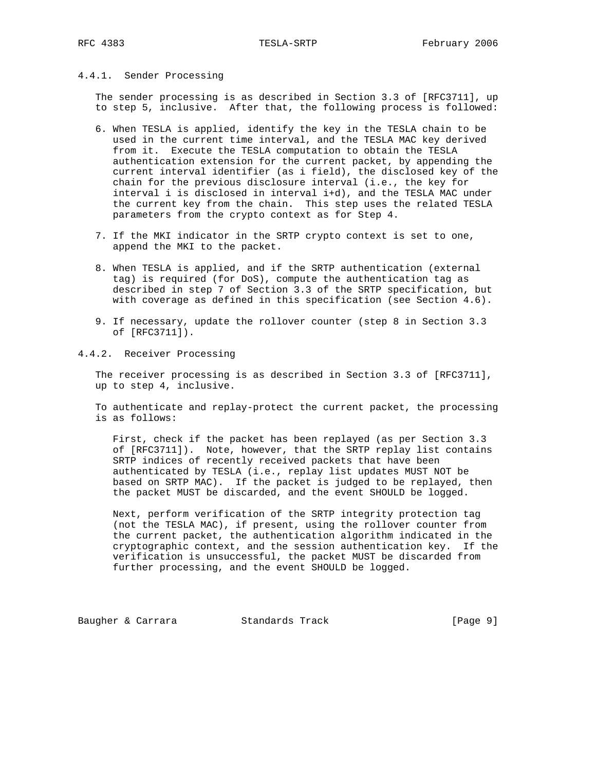#### 4.4.1. Sender Processing

 The sender processing is as described in Section 3.3 of [RFC3711], up to step 5, inclusive. After that, the following process is followed:

- 6. When TESLA is applied, identify the key in the TESLA chain to be used in the current time interval, and the TESLA MAC key derived from it. Execute the TESLA computation to obtain the TESLA authentication extension for the current packet, by appending the current interval identifier (as i field), the disclosed key of the chain for the previous disclosure interval (i.e., the key for interval i is disclosed in interval i+d), and the TESLA MAC under the current key from the chain. This step uses the related TESLA parameters from the crypto context as for Step 4.
- 7. If the MKI indicator in the SRTP crypto context is set to one, append the MKI to the packet.
- 8. When TESLA is applied, and if the SRTP authentication (external tag) is required (for DoS), compute the authentication tag as described in step 7 of Section 3.3 of the SRTP specification, but with coverage as defined in this specification (see Section 4.6).
- 9. If necessary, update the rollover counter (step 8 in Section 3.3 of [RFC3711]).
- 4.4.2. Receiver Processing

 The receiver processing is as described in Section 3.3 of [RFC3711], up to step 4, inclusive.

 To authenticate and replay-protect the current packet, the processing is as follows:

 First, check if the packet has been replayed (as per Section 3.3 of [RFC3711]). Note, however, that the SRTP replay list contains SRTP indices of recently received packets that have been authenticated by TESLA (i.e., replay list updates MUST NOT be based on SRTP MAC). If the packet is judged to be replayed, then the packet MUST be discarded, and the event SHOULD be logged.

 Next, perform verification of the SRTP integrity protection tag (not the TESLA MAC), if present, using the rollover counter from the current packet, the authentication algorithm indicated in the cryptographic context, and the session authentication key. If the verification is unsuccessful, the packet MUST be discarded from further processing, and the event SHOULD be logged.

Baugher & Carrara Standards Track (Page 9)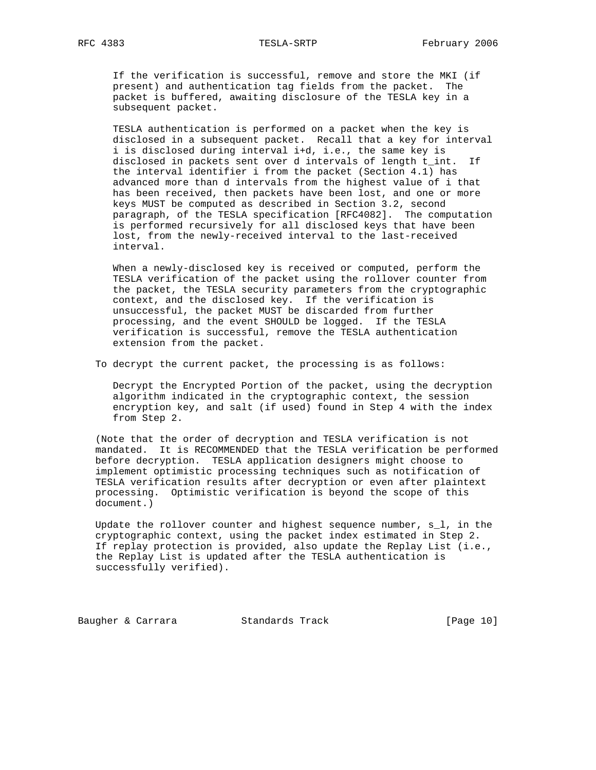If the verification is successful, remove and store the MKI (if present) and authentication tag fields from the packet. The packet is buffered, awaiting disclosure of the TESLA key in a subsequent packet.

 TESLA authentication is performed on a packet when the key is disclosed in a subsequent packet. Recall that a key for interval i is disclosed during interval i+d, i.e., the same key is disclosed in packets sent over d intervals of length t\_int. If the interval identifier i from the packet (Section 4.1) has advanced more than d intervals from the highest value of i that has been received, then packets have been lost, and one or more keys MUST be computed as described in Section 3.2, second paragraph, of the TESLA specification [RFC4082]. The computation is performed recursively for all disclosed keys that have been lost, from the newly-received interval to the last-received interval.

 When a newly-disclosed key is received or computed, perform the TESLA verification of the packet using the rollover counter from the packet, the TESLA security parameters from the cryptographic context, and the disclosed key. If the verification is unsuccessful, the packet MUST be discarded from further processing, and the event SHOULD be logged. If the TESLA verification is successful, remove the TESLA authentication extension from the packet.

To decrypt the current packet, the processing is as follows:

 Decrypt the Encrypted Portion of the packet, using the decryption algorithm indicated in the cryptographic context, the session encryption key, and salt (if used) found in Step 4 with the index from Step 2.

 (Note that the order of decryption and TESLA verification is not mandated. It is RECOMMENDED that the TESLA verification be performed before decryption. TESLA application designers might choose to implement optimistic processing techniques such as notification of TESLA verification results after decryption or even after plaintext processing. Optimistic verification is beyond the scope of this document.)

 Update the rollover counter and highest sequence number, s\_l, in the cryptographic context, using the packet index estimated in Step 2. If replay protection is provided, also update the Replay List (i.e., the Replay List is updated after the TESLA authentication is successfully verified).

Baugher & Carrara Standards Track [Page 10]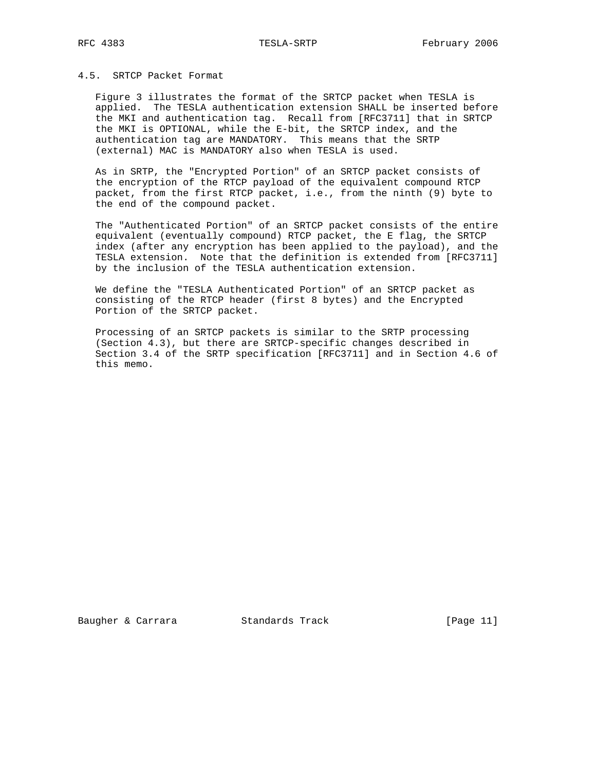## 4.5. SRTCP Packet Format

 Figure 3 illustrates the format of the SRTCP packet when TESLA is applied. The TESLA authentication extension SHALL be inserted before the MKI and authentication tag. Recall from [RFC3711] that in SRTCP the MKI is OPTIONAL, while the E-bit, the SRTCP index, and the authentication tag are MANDATORY. This means that the SRTP (external) MAC is MANDATORY also when TESLA is used.

 As in SRTP, the "Encrypted Portion" of an SRTCP packet consists of the encryption of the RTCP payload of the equivalent compound RTCP packet, from the first RTCP packet, i.e., from the ninth (9) byte to the end of the compound packet.

 The "Authenticated Portion" of an SRTCP packet consists of the entire equivalent (eventually compound) RTCP packet, the E flag, the SRTCP index (after any encryption has been applied to the payload), and the TESLA extension. Note that the definition is extended from [RFC3711] by the inclusion of the TESLA authentication extension.

 We define the "TESLA Authenticated Portion" of an SRTCP packet as consisting of the RTCP header (first 8 bytes) and the Encrypted Portion of the SRTCP packet.

 Processing of an SRTCP packets is similar to the SRTP processing (Section 4.3), but there are SRTCP-specific changes described in Section 3.4 of the SRTP specification [RFC3711] and in Section 4.6 of this memo.

Baugher & Carrara Standards Track [Page 11]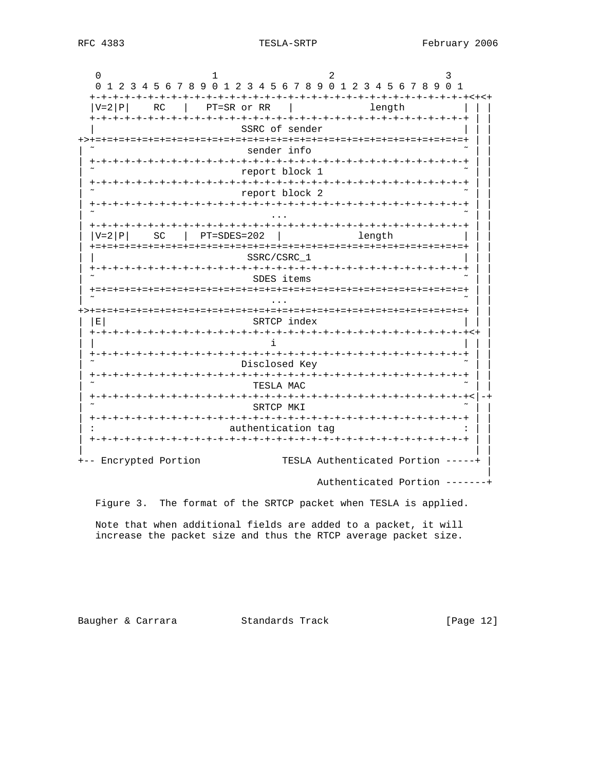| 4383<br>RFC |  |  |
|-------------|--|--|
|-------------|--|--|

| $\left($<br>0<br>1 2 3 4 5 6    |                                                       | 7890123456789012345678901          | <b>-+-+-+-+-+-+-+-+&lt;+&lt;+</b> |
|---------------------------------|-------------------------------------------------------|------------------------------------|-----------------------------------|
| +-+-+-+-+-+-+<br>$V=2 P $<br>RC | -+-+-+-+-+-+-+-+-+-+-+-+-+-+-+-+-+-+-+<br>PT=SR or RR | length                             |                                   |
|                                 | SSRC of sender                                        |                                    |                                   |
|                                 | sender info                                           |                                    |                                   |
|                                 | report block 1                                        |                                    |                                   |
|                                 | report block 2                                        |                                    |                                   |
|                                 |                                                       |                                    |                                   |
| $V=2 P $<br>SC                  | $PT = SDES = 202$<br>SSRC/CSRC 1                      | length                             |                                   |
|                                 | SDES items                                            |                                    |                                   |
|                                 |                                                       |                                    |                                   |
| Е                               | SRTCP index                                           |                                    |                                   |
|                                 |                                                       |                                    |                                   |
|                                 | Disclosed Key                                         |                                    |                                   |
|                                 | TESLA MAC                                             |                                    |                                   |
|                                 | SRTCP MKI                                             |                                    |                                   |
|                                 | authentication tag                                    |                                    |                                   |
| Encrypted Portion               |                                                       | TESLA Authenticated Portion -----+ |                                   |
|                                 |                                                       | Authenticated Portion              |                                   |

Figure 3. The format of the SRTCP packet when TESLA is applied.

Note that when additional fields are added to a packet, it will increase the packet size and thus the RTCP average packet size.

Baugher & Carrara Standards Track

[Page 12]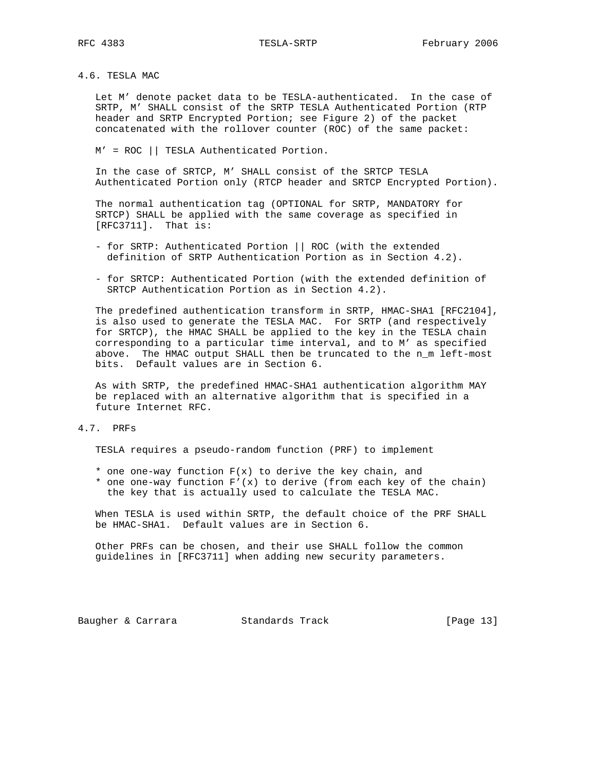## 4.6. TESLA MAC

 Let M' denote packet data to be TESLA-authenticated. In the case of SRTP, M' SHALL consist of the SRTP TESLA Authenticated Portion (RTP header and SRTP Encrypted Portion; see Figure 2) of the packet concatenated with the rollover counter (ROC) of the same packet:

M' = ROC || TESLA Authenticated Portion.

 In the case of SRTCP, M' SHALL consist of the SRTCP TESLA Authenticated Portion only (RTCP header and SRTCP Encrypted Portion).

 The normal authentication tag (OPTIONAL for SRTP, MANDATORY for SRTCP) SHALL be applied with the same coverage as specified in [RFC3711]. That is:

- for SRTP: Authenticated Portion || ROC (with the extended definition of SRTP Authentication Portion as in Section 4.2).
- for SRTCP: Authenticated Portion (with the extended definition of SRTCP Authentication Portion as in Section 4.2).

 The predefined authentication transform in SRTP, HMAC-SHA1 [RFC2104], is also used to generate the TESLA MAC. For SRTP (and respectively for SRTCP), the HMAC SHALL be applied to the key in the TESLA chain corresponding to a particular time interval, and to M' as specified above. The HMAC output SHALL then be truncated to the n\_m left-most bits. Default values are in Section 6.

 As with SRTP, the predefined HMAC-SHA1 authentication algorithm MAY be replaced with an alternative algorithm that is specified in a future Internet RFC.

#### 4.7. PRFs

TESLA requires a pseudo-random function (PRF) to implement

- \* one one-way function  $F(x)$  to derive the key chain, and
- \* one one-way function F'(x) to derive (from each key of the chain) the key that is actually used to calculate the TESLA MAC.

 When TESLA is used within SRTP, the default choice of the PRF SHALL be HMAC-SHA1. Default values are in Section 6.

 Other PRFs can be chosen, and their use SHALL follow the common guidelines in [RFC3711] when adding new security parameters.

Baugher & Carrara Standards Track [Page 13]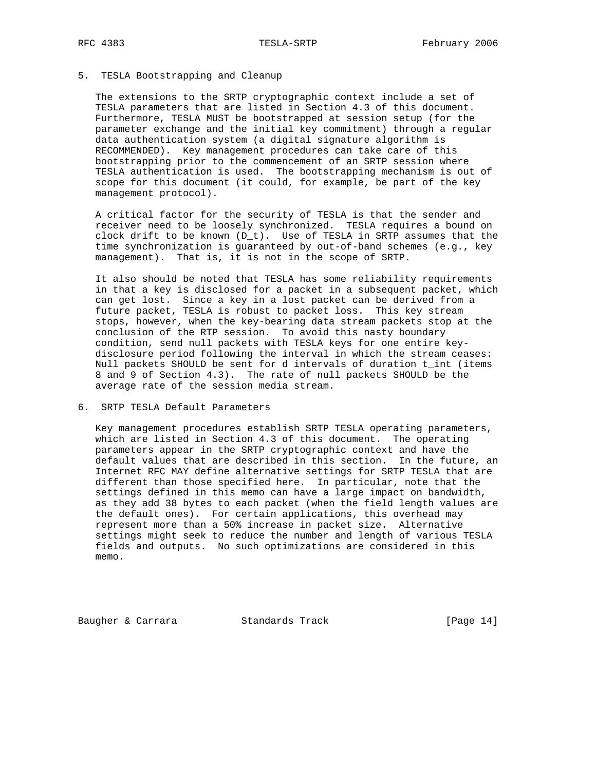#### 5. TESLA Bootstrapping and Cleanup

 The extensions to the SRTP cryptographic context include a set of TESLA parameters that are listed in Section 4.3 of this document. Furthermore, TESLA MUST be bootstrapped at session setup (for the parameter exchange and the initial key commitment) through a regular data authentication system (a digital signature algorithm is RECOMMENDED). Key management procedures can take care of this bootstrapping prior to the commencement of an SRTP session where TESLA authentication is used. The bootstrapping mechanism is out of scope for this document (it could, for example, be part of the key management protocol).

 A critical factor for the security of TESLA is that the sender and receiver need to be loosely synchronized. TESLA requires a bound on clock drift to be known (D\_t). Use of TESLA in SRTP assumes that the time synchronization is guaranteed by out-of-band schemes (e.g., key management). That is, it is not in the scope of SRTP.

 It also should be noted that TESLA has some reliability requirements in that a key is disclosed for a packet in a subsequent packet, which can get lost. Since a key in a lost packet can be derived from a future packet, TESLA is robust to packet loss. This key stream stops, however, when the key-bearing data stream packets stop at the conclusion of the RTP session. To avoid this nasty boundary condition, send null packets with TESLA keys for one entire key disclosure period following the interval in which the stream ceases: Null packets SHOULD be sent for d intervals of duration t\_int (items 8 and 9 of Section 4.3). The rate of null packets SHOULD be the average rate of the session media stream.

6. SRTP TESLA Default Parameters

 Key management procedures establish SRTP TESLA operating parameters, which are listed in Section 4.3 of this document. The operating parameters appear in the SRTP cryptographic context and have the default values that are described in this section. In the future, an Internet RFC MAY define alternative settings for SRTP TESLA that are different than those specified here. In particular, note that the settings defined in this memo can have a large impact on bandwidth, as they add 38 bytes to each packet (when the field length values are the default ones). For certain applications, this overhead may represent more than a 50% increase in packet size. Alternative settings might seek to reduce the number and length of various TESLA fields and outputs. No such optimizations are considered in this memo.

Baugher & Carrara Standards Track [Page 14]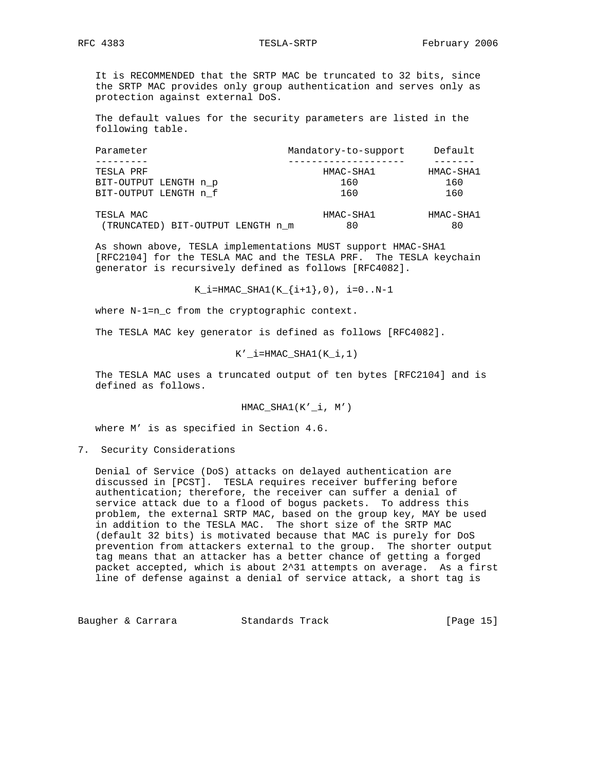It is RECOMMENDED that the SRTP MAC be truncated to 32 bits, since the SRTP MAC provides only group authentication and serves only as protection against external DoS.

 The default values for the security parameters are listed in the following table.

| Parameter                         | Mandatory-to-support | Default   |
|-----------------------------------|----------------------|-----------|
|                                   |                      |           |
| TESLA PRF                         | HMAC-SHA1            | HMAC-SHA1 |
| BIT-OUTPUT LENGTH n p             | 160                  | 160       |
| BIT-OUTPUT LENGTH n f             | 160                  | 160       |
| TESLA MAC                         | HMAC-SHA1            | HMAC-SHA1 |
| (TRUNCATED) BIT-OUTPUT LENGTH n m | 80                   | 80        |

 As shown above, TESLA implementations MUST support HMAC-SHA1 [RFC2104] for the TESLA MAC and the TESLA PRF. The TESLA keychain generator is recursively defined as follows [RFC4082].

 $K_i = HMAC_SHA1(K_{i+1}, 0), i=0..N-1$ 

where N-1=n\_c from the cryptographic context.

The TESLA MAC key generator is defined as follows [RFC4082].

 $K'$ \_i=HMAC\_SHA1( $K_i, 1$ )

 The TESLA MAC uses a truncated output of ten bytes [RFC2104] and is defined as follows.

HMAC\_SHA1(K'\_i, M')

where M' is as specified in Section 4.6.

7. Security Considerations

 Denial of Service (DoS) attacks on delayed authentication are discussed in [PCST]. TESLA requires receiver buffering before authentication; therefore, the receiver can suffer a denial of service attack due to a flood of bogus packets. To address this problem, the external SRTP MAC, based on the group key, MAY be used in addition to the TESLA MAC. The short size of the SRTP MAC (default 32 bits) is motivated because that MAC is purely for DoS prevention from attackers external to the group. The shorter output tag means that an attacker has a better chance of getting a forged packet accepted, which is about 2^31 attempts on average. As a first line of defense against a denial of service attack, a short tag is

Baugher & Carrara Standards Track (Page 15)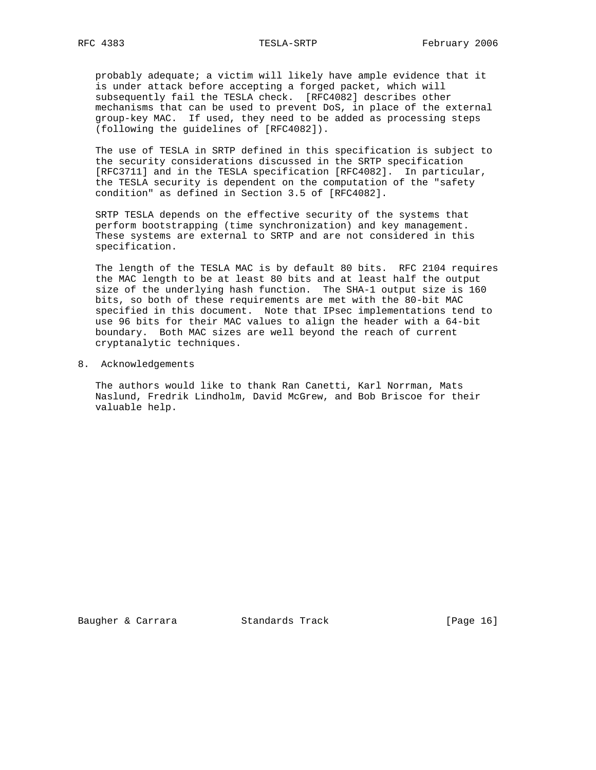probably adequate; a victim will likely have ample evidence that it is under attack before accepting a forged packet, which will subsequently fail the TESLA check. [RFC4082] describes other mechanisms that can be used to prevent DoS, in place of the external group-key MAC. If used, they need to be added as processing steps (following the guidelines of [RFC4082]).

 The use of TESLA in SRTP defined in this specification is subject to the security considerations discussed in the SRTP specification [RFC3711] and in the TESLA specification [RFC4082]. In particular, the TESLA security is dependent on the computation of the "safety condition" as defined in Section 3.5 of [RFC4082].

 SRTP TESLA depends on the effective security of the systems that perform bootstrapping (time synchronization) and key management. These systems are external to SRTP and are not considered in this specification.

 The length of the TESLA MAC is by default 80 bits. RFC 2104 requires the MAC length to be at least 80 bits and at least half the output size of the underlying hash function. The SHA-1 output size is 160 bits, so both of these requirements are met with the 80-bit MAC specified in this document. Note that IPsec implementations tend to use 96 bits for their MAC values to align the header with a 64-bit boundary. Both MAC sizes are well beyond the reach of current cryptanalytic techniques.

8. Acknowledgements

 The authors would like to thank Ran Canetti, Karl Norrman, Mats Naslund, Fredrik Lindholm, David McGrew, and Bob Briscoe for their valuable help.

Baugher & Carrara Standards Track [Page 16]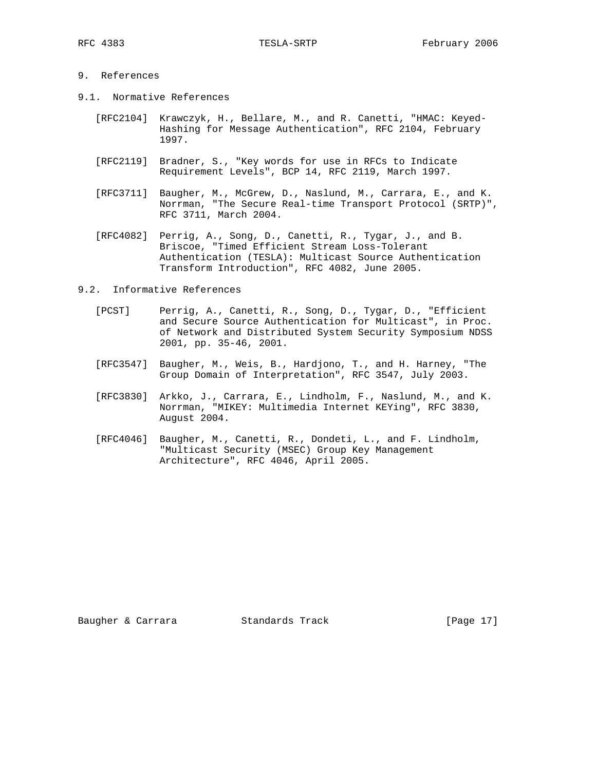## 9. References

- 9.1. Normative References
	- [RFC2104] Krawczyk, H., Bellare, M., and R. Canetti, "HMAC: Keyed- Hashing for Message Authentication", RFC 2104, February 1997.
	- [RFC2119] Bradner, S., "Key words for use in RFCs to Indicate Requirement Levels", BCP 14, RFC 2119, March 1997.
	- [RFC3711] Baugher, M., McGrew, D., Naslund, M., Carrara, E., and K. Norrman, "The Secure Real-time Transport Protocol (SRTP)", RFC 3711, March 2004.
	- [RFC4082] Perrig, A., Song, D., Canetti, R., Tygar, J., and B. Briscoe, "Timed Efficient Stream Loss-Tolerant Authentication (TESLA): Multicast Source Authentication Transform Introduction", RFC 4082, June 2005.
- 9.2. Informative References
	- [PCST] Perrig, A., Canetti, R., Song, D., Tygar, D., "Efficient and Secure Source Authentication for Multicast", in Proc. of Network and Distributed System Security Symposium NDSS 2001, pp. 35-46, 2001.
	- [RFC3547] Baugher, M., Weis, B., Hardjono, T., and H. Harney, "The Group Domain of Interpretation", RFC 3547, July 2003.
	- [RFC3830] Arkko, J., Carrara, E., Lindholm, F., Naslund, M., and K. Norrman, "MIKEY: Multimedia Internet KEYing", RFC 3830, August 2004.
	- [RFC4046] Baugher, M., Canetti, R., Dondeti, L., and F. Lindholm, "Multicast Security (MSEC) Group Key Management Architecture", RFC 4046, April 2005.

Baugher & Carrara Standards Track [Page 17]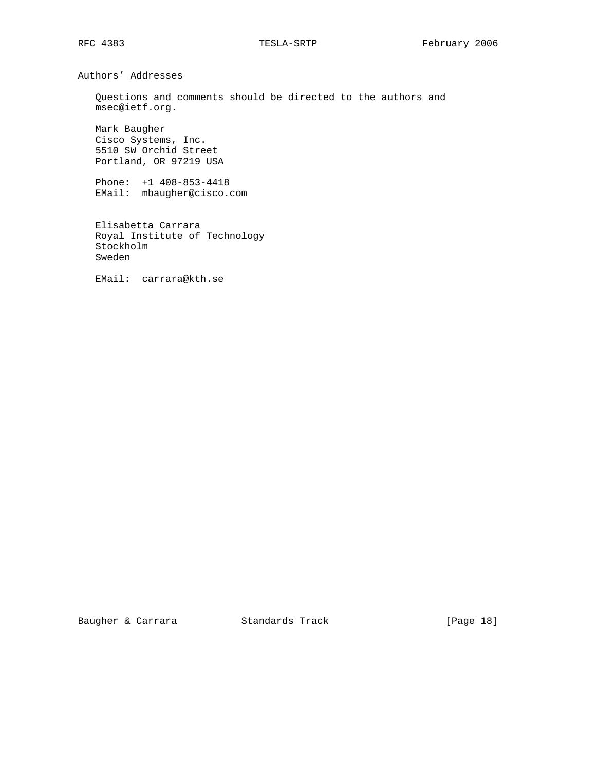Authors' Addresses

 Questions and comments should be directed to the authors and msec@ietf.org.

 Mark Baugher Cisco Systems, Inc. 5510 SW Orchid Street Portland, OR 97219 USA

 Phone: +1 408-853-4418 EMail: mbaugher@cisco.com

 Elisabetta Carrara Royal Institute of Technology Stockholm Sweden

EMail: carrara@kth.se